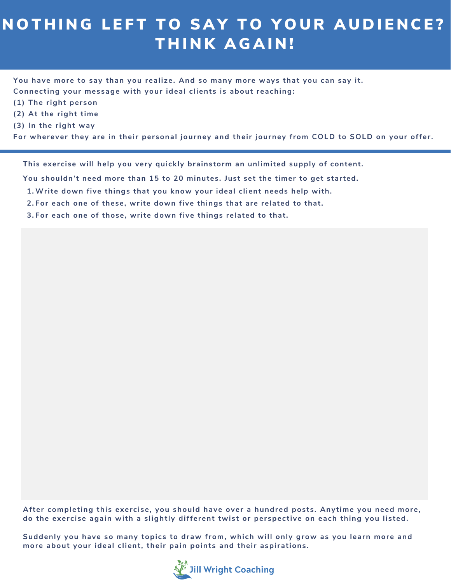## NOTHING LEFT TO SAY TO YOUR AUDIENCE? THINK AGAIN!

**You have more to say than you realize. And so many more ways that you can say it. Connecting your message with your ideal clients is about reaching:**

- **(1) The right person**
- **(2) At the right time**
- **(3) In the right way**

**For wherever they are in their personal journey and their journey from COLD to SOLD on your offer.**

**This exercise will help you very quickly brainstorm an unlimited supply of content.**

**You shouldn't need more than 15 to 20 minutes. Just set the timer to get started.**

- **Write down five things that you know your ideal client needs help with. 1.**
- **For each one of these, write down five things that are related to that. 2.**
- **For each one of those, write down five things related to that. 3.**

**After completing this exercise, you should have over a hundred posts. Anytime you need more, do the exercise again with a slightly different twist or perspective on each thing you listed.**

**Suddenly you have so many topics to draw from, which will only grow as you learn more and more about your ideal client, their pain points and their aspirations.**